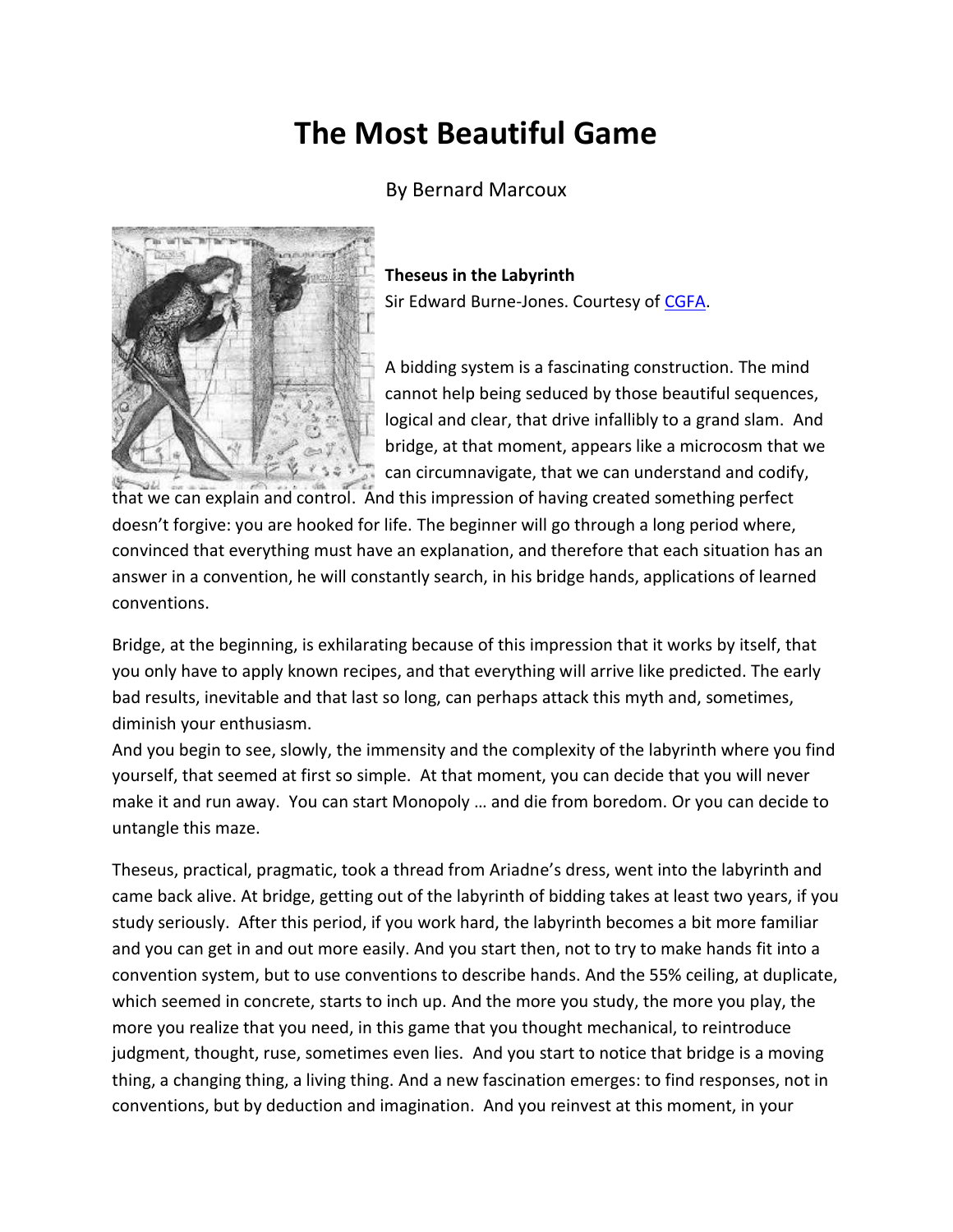## **The Most Beautiful Game**

By Bernard Marcoux



**Theseus in the Labyrinth**

Sir Edward Burne-Jones. Courtesy of [CGFA.](http://cgfa.floridaimaging.com/burne/p-burne44.htm)

A bidding system is a fascinating construction. The mind cannot help being seduced by those beautiful sequences, logical and clear, that drive infallibly to a grand slam. And bridge, at that moment, appears like a microcosm that we can circumnavigate, that we can understand and codify,

that we can explain and control. And this impression of having created something perfect doesn't forgive: you are hooked for life. The beginner will go through a long period where, convinced that everything must have an explanation, and therefore that each situation has an answer in a convention, he will constantly search, in his bridge hands, applications of learned conventions.

Bridge, at the beginning, is exhilarating because of this impression that it works by itself, that you only have to apply known recipes, and that everything will arrive like predicted. The early bad results, inevitable and that last so long, can perhaps attack this myth and, sometimes, diminish your enthusiasm.

And you begin to see, slowly, the immensity and the complexity of the labyrinth where you find yourself, that seemed at first so simple. At that moment, you can decide that you will never make it and run away. You can start Monopoly … and die from boredom. Or you can decide to untangle this maze.

Theseus, practical, pragmatic, took a thread from Ariadne's dress, went into the labyrinth and came back alive. At bridge, getting out of the labyrinth of bidding takes at least two years, if you study seriously. After this period, if you work hard, the labyrinth becomes a bit more familiar and you can get in and out more easily. And you start then, not to try to make hands fit into a convention system, but to use conventions to describe hands. And the 55% ceiling, at duplicate, which seemed in concrete, starts to inch up. And the more you study, the more you play, the more you realize that you need, in this game that you thought mechanical, to reintroduce judgment, thought, ruse, sometimes even lies. And you start to notice that bridge is a moving thing, a changing thing, a living thing. And a new fascination emerges: to find responses, not in conventions, but by deduction and imagination. And you reinvest at this moment, in your